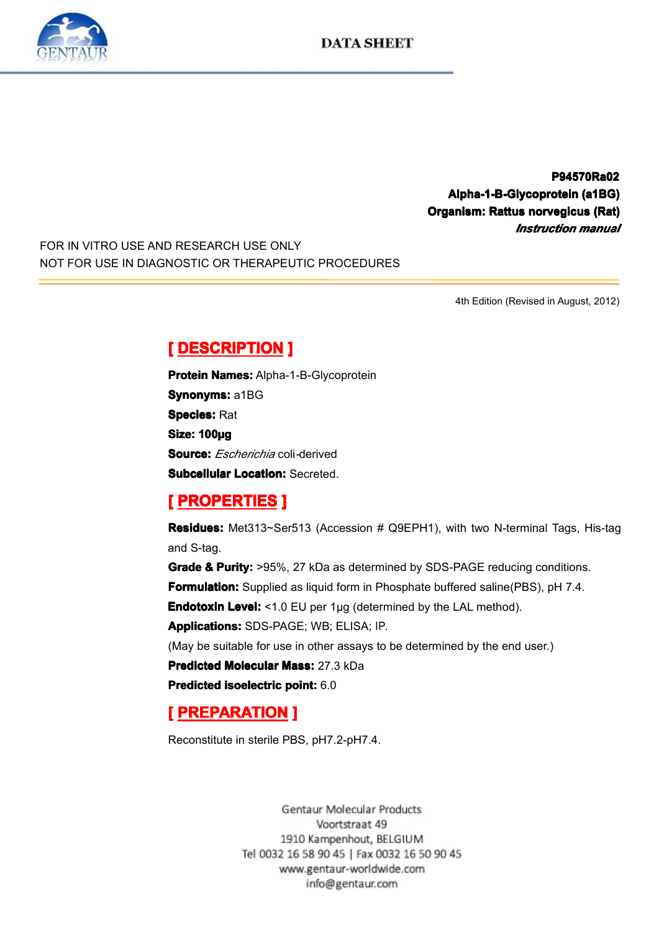

**P94570Ra02 P94570Ra02 Alpha-1-B-Glycoprotein Alpha-1-B-Glycoprotein (a1BG) ha-1-B-Glycoprotein(a1BG) Organism: Rattus anism: norvegicus usnorvegicus (Rat) vegicus** *Instruction Instruction Instruction manual*

FOR IN VITRO USE AND RESEARCH USE ONLY NOT FOR USE IN DIAGNOSTIC OR THERAPEUTIC PROCEDURES

4th Edition (Revised in August, 2012)

**Experience DESCRIPTION**<br> **Protein Names:** Alpha-<br> **Synonyms:** a1BG<br> **Species:** Rat<br> **Size: 100µg**<br> **Source:** *Escherichio* and **Protein Names:** Alpha-1-B-Glycoprotein<br>**Synonyms:** a1BG<br>**Species:** Rat<br>**Size: 100ug Synonyms: a1BG Species:** Rat Size: 100µg<br>Size: 100µg<br>Subcellular<br> **[** PROPE **Source:** *Escherichia* coli*-*derived

**Subcellular Location:** Secreted.<br> **[ PROPERTIES ]**<br> **Residues:** Met313~Ser513 (Accession # Q9EPH1), with two N-terminal Tags, His-tag<br>
and S-tag.

**Experiment Excelence III**<br> **Residues:** Met313~Se<br>
and S-tag.<br> **Grade & Purity:** >95%<br> **Formulation:** Supplied **Residues:** Met313~Ser513 (Accession # Q9EPH1), with two N-terminal Tags, His-tag<br>and S-tag.<br>**Grade & Purity:** >95%, 27 kDa as determined by SDS-PAGE reducing conditions.<br>**Formulation:** Supplied as liquid form in Phosphate ncolades<br>and S-tag.<br>Grade & F<br>Formulati **Grade & Purity:** >95%, 27 kDa as determined by SDS-PAGE reducing conditions.<br> **Formulation:** Supplied as liquid form in Phosphate buffered saline(PBS), pH 7.4.<br> **Endotoxin Level:** <1.0 EU per 1µg (determined by the LAL me **Formulation:** Supplied as liquid form in Phosphate buffered saline(PBS), pH 7.4.<br> **Endotoxin Level:** <1.0 EU per 1µg (determined by the LAL method).<br> **Applications:** SDS-PAGE; WB; ELISA; IP.<br>
(May be suitable for use in o

**Endotoxin Level:** <1.0 EU per 1µg (determined by the LAL method).<br>**Applications:** SDS-PAGE; WB; ELISA; IP.<br>(May be suitable for use in other assays to be determined by the end<br>**Predicted Molecular Mass:** 27.3 kDa<br>**Predict Applications:**SDS-PAGE; WB; ELISA; IP.<br>(May be suitable for use in other assays to<br>**Predicted Molecular Mass:** 27.3 kDa<br>**Predicted isoelectric point:** 6.0 (May be suitable for use in other assays to be determined by the end user.)<br> **Predicted Molecular Mass:** 27.3 kDa<br> **Predicted isoelectric point:** 6.0

**Predicted Molecular Mass:** 27.3 kDa<br>**Predicted isoelectric point:** 6.0<br>**[ PREPARATION ]**<br>Reconstitute in sterile PBS, pH7.2-pH

**Predicted isoelectric point:** 6.0<br>**[ PREPARATION ]** 

# **PREPARATION**<br>Reconstitute in sterile PB<br>Ge

Reconstitute in sterile PBS, pH7.2-pH7.4.

1910 Kampenhout, BELGIUM Tel 0032 16 58 90 45 | Fax 0032 16 50 90 45 www.gentaur-worldwide.com info@gentaur.com